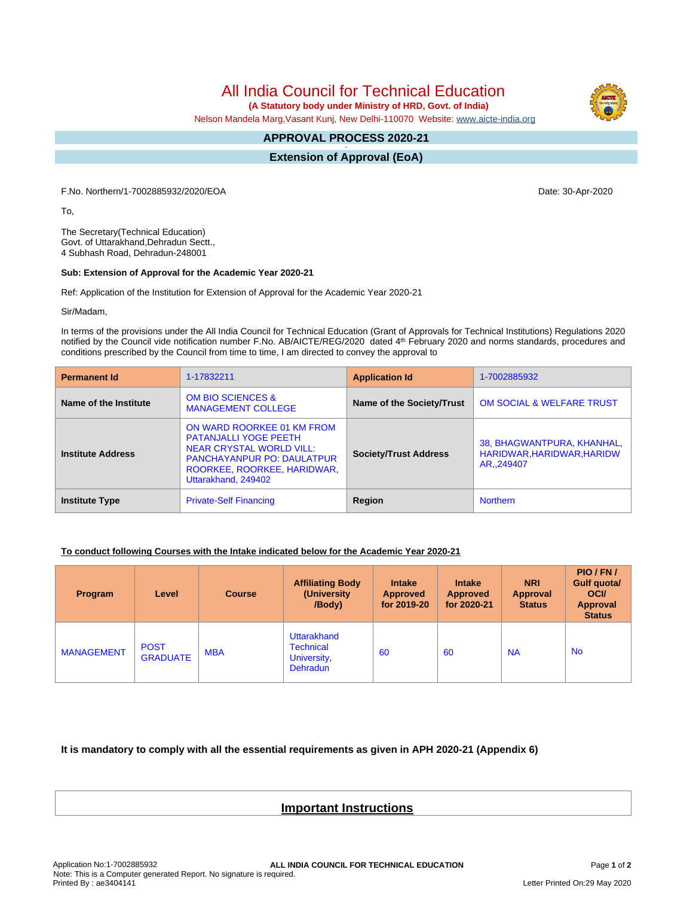All India Council for Technical Education

 **(A Statutory body under Ministry of HRD, Govt. of India)**

Nelson Mandela Marg,Vasant Kunj, New Delhi-110070 Website: [www.aicte-india.org](http://www.aicte-india.org)

## **APPROVAL PROCESS 2020-21 -**

**Extension of Approval (EoA)**

F.No. Northern/1-7002885932/2020/EOA Date: 30-Apr-2020

To,

The Secretary(Technical Education) Govt. of Uttarakhand,Dehradun Sectt., 4 Subhash Road, Dehradun-248001

## **Sub: Extension of Approval for the Academic Year 2020-21**

Ref: Application of the Institution for Extension of Approval for the Academic Year 2020-21

Sir/Madam,

In terms of the provisions under the All India Council for Technical Education (Grant of Approvals for Technical Institutions) Regulations 2020 notified by the Council vide notification number F.No. AB/AICTE/REG/2020 dated 4<sup>th</sup> February 2020 and norms standards, procedures and conditions prescribed by the Council from time to time, I am directed to convey the approval to

| <b>Permanent Id</b>      | 1-17832211                                                                                                                                                                               | <b>Application Id</b>        | 1-7002885932                                                            |  |
|--------------------------|------------------------------------------------------------------------------------------------------------------------------------------------------------------------------------------|------------------------------|-------------------------------------------------------------------------|--|
| Name of the Institute    | <b>OM BIO SCIENCES &amp;</b><br><b>MANAGEMENT COLLEGE</b>                                                                                                                                | Name of the Society/Trust    | <b>OM SOCIAL &amp; WELFARE TRUST</b>                                    |  |
| <b>Institute Address</b> | ON WARD ROORKEE 01 KM FROM<br><b>PATANJALLI YOGE PEETH</b><br><b>NEAR CRYSTAL WORLD VILL:</b><br><b>PANCHAYANPUR PO: DAULATPUR</b><br>ROORKEE, ROORKEE, HARIDWAR,<br>Uttarakhand, 249402 | <b>Society/Trust Address</b> | 38, BHAGWANTPURA, KHANHAL,<br>HARIDWAR, HARIDWAR, HARIDW<br>AR., 249407 |  |
| <b>Institute Type</b>    | <b>Private-Self Financing</b>                                                                                                                                                            | Region                       | <b>Northern</b>                                                         |  |

## **To conduct following Courses with the Intake indicated below for the Academic Year 2020-21**

| <b>Program</b>    | Level                          | <b>Course</b> | <b>Affiliating Body</b><br>(University)<br>/Body)                 | <b>Intake</b><br><b>Approved</b><br>for 2019-20 | <b>Intake</b><br><b>Approved</b><br>for 2020-21 | <b>NRI</b><br>Approval<br><b>Status</b> | PIO/FN/<br>Gulf quota/<br><b>OCI</b><br><b>Approval</b><br><b>Status</b> |
|-------------------|--------------------------------|---------------|-------------------------------------------------------------------|-------------------------------------------------|-------------------------------------------------|-----------------------------------------|--------------------------------------------------------------------------|
| <b>MANAGEMENT</b> | <b>POST</b><br><b>GRADUATE</b> | <b>MBA</b>    | Uttarakhand<br><b>Technical</b><br>University,<br><b>Dehradun</b> | 60                                              | -60                                             | <b>NA</b>                               | <b>No</b>                                                                |

**It is mandatory to comply with all the essential requirements as given in APH 2020-21 (Appendix 6)**

## **Important Instructions**